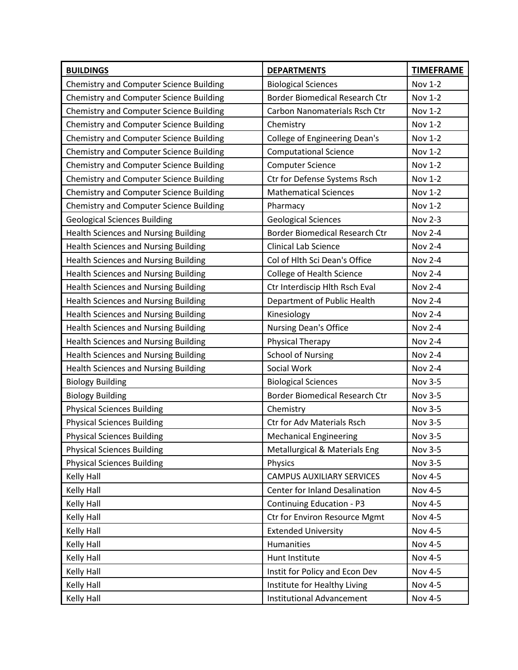| <b>BUILDINGS</b>                               | <b>DEPARTMENTS</b>                    | <b>TIMEFRAME</b> |
|------------------------------------------------|---------------------------------------|------------------|
| <b>Chemistry and Computer Science Building</b> | <b>Biological Sciences</b>            | Nov 1-2          |
| <b>Chemistry and Computer Science Building</b> | <b>Border Biomedical Research Ctr</b> | <b>Nov 1-2</b>   |
| <b>Chemistry and Computer Science Building</b> | Carbon Nanomaterials Rsch Ctr         | Nov 1-2          |
| <b>Chemistry and Computer Science Building</b> | Chemistry                             | Nov 1-2          |
| <b>Chemistry and Computer Science Building</b> | <b>College of Engineering Dean's</b>  | Nov 1-2          |
| <b>Chemistry and Computer Science Building</b> | <b>Computational Science</b>          | Nov 1-2          |
| <b>Chemistry and Computer Science Building</b> | <b>Computer Science</b>               | <b>Nov 1-2</b>   |
| <b>Chemistry and Computer Science Building</b> | Ctr for Defense Systems Rsch          | Nov 1-2          |
| <b>Chemistry and Computer Science Building</b> | <b>Mathematical Sciences</b>          | <b>Nov 1-2</b>   |
| <b>Chemistry and Computer Science Building</b> | Pharmacy                              | Nov 1-2          |
| <b>Geological Sciences Building</b>            | <b>Geological Sciences</b>            | Nov 2-3          |
| <b>Health Sciences and Nursing Building</b>    | <b>Border Biomedical Research Ctr</b> | <b>Nov 2-4</b>   |
| Health Sciences and Nursing Building           | Clinical Lab Science                  | <b>Nov 2-4</b>   |
| <b>Health Sciences and Nursing Building</b>    | Col of Hlth Sci Dean's Office         | <b>Nov 2-4</b>   |
| <b>Health Sciences and Nursing Building</b>    | <b>College of Health Science</b>      | <b>Nov 2-4</b>   |
| <b>Health Sciences and Nursing Building</b>    | Ctr Interdiscip Hlth Rsch Eval        | <b>Nov 2-4</b>   |
| <b>Health Sciences and Nursing Building</b>    | Department of Public Health           | <b>Nov 2-4</b>   |
| <b>Health Sciences and Nursing Building</b>    | Kinesiology                           | <b>Nov 2-4</b>   |
| <b>Health Sciences and Nursing Building</b>    | Nursing Dean's Office                 | <b>Nov 2-4</b>   |
| <b>Health Sciences and Nursing Building</b>    | <b>Physical Therapy</b>               | <b>Nov 2-4</b>   |
| <b>Health Sciences and Nursing Building</b>    | <b>School of Nursing</b>              | <b>Nov 2-4</b>   |
| <b>Health Sciences and Nursing Building</b>    | Social Work                           | <b>Nov 2-4</b>   |
| <b>Biology Building</b>                        | <b>Biological Sciences</b>            | Nov 3-5          |
| <b>Biology Building</b>                        | <b>Border Biomedical Research Ctr</b> | Nov 3-5          |
| <b>Physical Sciences Building</b>              | Chemistry                             | Nov 3-5          |
| <b>Physical Sciences Building</b>              | <b>Ctr for Adv Materials Rsch</b>     | Nov 3-5          |
| <b>Physical Sciences Building</b>              | <b>Mechanical Engineering</b>         | <b>Nov 3-5</b>   |
| <b>Physical Sciences Building</b>              | Metallurgical & Materials Eng         | <b>Nov 3-5</b>   |
| <b>Physical Sciences Building</b>              | Physics                               | <b>Nov 3-5</b>   |
| Kelly Hall                                     | CAMPUS AUXILIARY SERVICES             | <b>Nov 4-5</b>   |
| Kelly Hall                                     | Center for Inland Desalination        | Nov 4-5          |
| Kelly Hall                                     | Continuing Education - P3             | <b>Nov 4-5</b>   |
| Kelly Hall                                     | Ctr for Environ Resource Mgmt         | Nov 4-5          |
| Kelly Hall                                     | <b>Extended University</b>            | Nov 4-5          |
| Kelly Hall                                     | Humanities                            | Nov 4-5          |
| Kelly Hall                                     | Hunt Institute                        | Nov 4-5          |
| Kelly Hall                                     | Instit for Policy and Econ Dev        | Nov 4-5          |
| Kelly Hall                                     | Institute for Healthy Living          | Nov 4-5          |
| Kelly Hall                                     | <b>Institutional Advancement</b>      | Nov 4-5          |